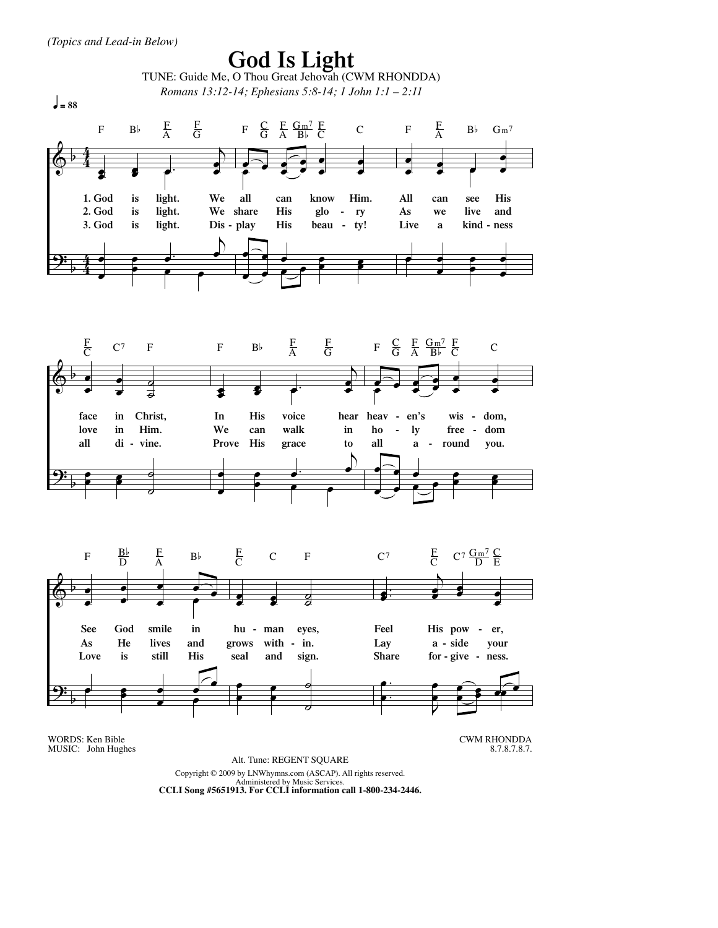

Administered by Music Services. **CCLI Song #5651913. For CCLI information call 1-800-234-2446.**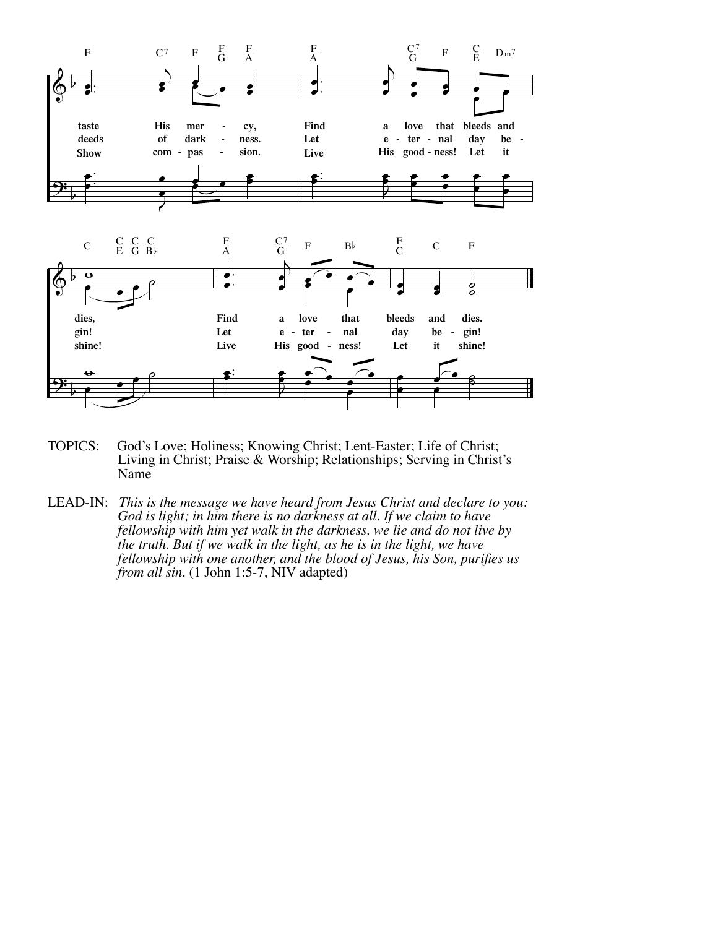

- TOPICS: God's Love; Holiness; Knowing Christ; Lent-Easter; Life of Christ; Living in Christ; Praise & Worship; Relationships; Serving in Christ's Name
- LEAD-IN: This is the message we have heard from Jesus Christ and declare to you:<br>God is light; in him there is no darkness at all. If we claim to have<br>fellowship with him yet walk in the darkness, we lie and do not live by